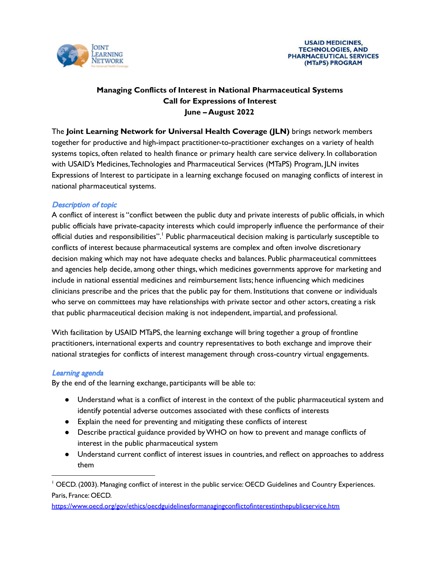

# **Managing Conflicts of Interest in National Pharmaceutical Systems Call for Expressions of Interest June – August 2022**

The **Joint Learning Network for Universal Health Coverage (JLN)** brings network members together for productive and high-impact practitioner-to-practitioner exchanges on a variety of health systems topics, often related to health finance or primary health care service delivery. In collaboration with USAID's Medicines,Technologies and Pharmaceutical Services (MTaPS) Program, JLN invites Expressions of Interest to participate in a learning exchange focused on managing conflicts of interest in national pharmaceutical systems.

#### Description of topic

A conflict of interest is "conflict between the public duty and private interests of public officials, in which public officials have private-capacity interests which could improperly influence the performance of their official duties and responsibilities". <sup>1</sup> Public pharmaceutical decision making is particularly susceptible to conflicts of interest because pharmaceutical systems are complex and often involve discretionary decision making which may not have adequate checks and balances. Public pharmaceutical committees and agencies help decide, among other things, which medicines governments approve for marketing and include in national essential medicines and reimbursement lists; hence influencing which medicines clinicians prescribe and the prices that the public pay for them. Institutions that convene or individuals who serve on committees may have relationships with private sector and other actors, creating a risk that public pharmaceutical decision making is not independent, impartial, and professional.

With facilitation by USAID MTaPS, the learning exchange will bring together a group of frontline practitioners, international experts and country representatives to both exchange and improve their national strategies for conflicts of interest management through cross-country virtual engagements.

#### Learning agenda

By the end of the learning exchange, participants will be able to:

- Understand what is a conflict of interest in the context of the public pharmaceutical system and identify potential adverse outcomes associated with these conflicts of interests
- Explain the need for preventing and mitigating these conflicts of interest
- Describe practical guidance provided byWHO on how to prevent and manage conflicts of interest in the public pharmaceutical system
- Understand current conflict of interest issues in countries, and reflect on approaches to address them

```
https://www.oecd.org/gov/ethics/oecdguidelinesformanagingconflictofinterestinthepublicservice.htm
```
<sup>&</sup>lt;sup>1</sup> OECD. (2003). Managing conflict of interest in the public service: OECD Guidelines and Country Experiences. Paris, France: OECD.